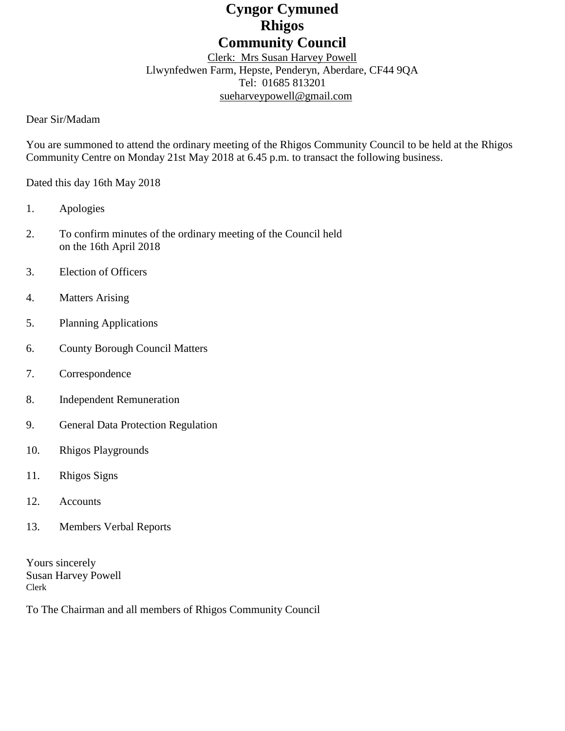# **Cyngor Cymuned Rhigos Community Council**

### Clerk: Mrs Susan Harvey Powell Llwynfedwen Farm, Hepste, Penderyn, Aberdare, CF44 9QA Tel: 01685 813201 [sueharveypowell@g](mailto:sharveypowell@comin-infants.co.uk)mail.com

#### Dear Sir/Madam

You are summoned to attend the ordinary meeting of the Rhigos Community Council to be held at the Rhigos Community Centre on Monday 21st May 2018 at 6.45 p.m. to transact the following business.

Dated this day 16th May 2018

- 1. Apologies
- 2. To confirm minutes of the ordinary meeting of the Council held on the 16th April 2018
- 3. Election of Officers
- 4. Matters Arising
- 5. Planning Applications
- 6. County Borough Council Matters
- 7. Correspondence
- 8. Independent Remuneration
- 9. General Data Protection Regulation
- 10. Rhigos Playgrounds
- 11. Rhigos Signs
- 12. Accounts
- 13. Members Verbal Reports

Yours sincerely Susan Harvey Powell Clerk

To The Chairman and all members of Rhigos Community Council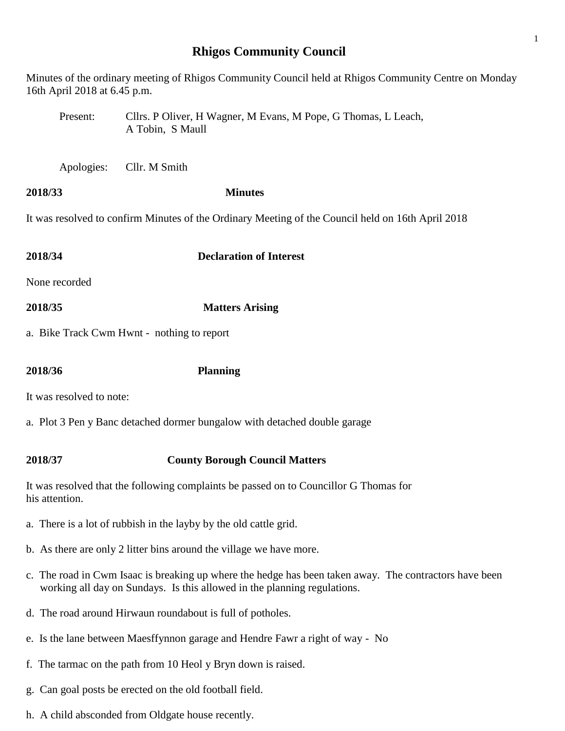## **Rhigos Community Council**

Minutes of the ordinary meeting of Rhigos Community Council held at Rhigos Community Centre on Monday 16th April 2018 at 6.45 p.m.

- Present: Cllrs. P Oliver, H Wagner, M Evans, M Pope, G Thomas, L Leach, A Tobin, S Maull
- Apologies: Cllr. M Smith
- **2018/33 Minutes**

It was resolved to confirm Minutes of the Ordinary Meeting of the Council held on 16th April 2018

| 2018/34                                                                   | <b>Declaration of Interest</b> |  |
|---------------------------------------------------------------------------|--------------------------------|--|
| None recorded                                                             |                                |  |
| 2018/35                                                                   | <b>Matters Arising</b>         |  |
| a. Bike Track Cwm Hwnt - nothing to report                                |                                |  |
|                                                                           |                                |  |
| 2018/36                                                                   | <b>Planning</b>                |  |
| It was resolved to note:                                                  |                                |  |
| a. Plot 3 Pen y Banc detached dormer bungalow with detached double garage |                                |  |
|                                                                           |                                |  |

#### **2018/37 County Borough Council Matters**

It was resolved that the following complaints be passed on to Councillor G Thomas for his attention.

- a. There is a lot of rubbish in the layby by the old cattle grid.
- b. As there are only 2 litter bins around the village we have more.
- c. The road in Cwm Isaac is breaking up where the hedge has been taken away. The contractors have been working all day on Sundays. Is this allowed in the planning regulations.
- d. The road around Hirwaun roundabout is full of potholes.
- e. Is the lane between Maesffynnon garage and Hendre Fawr a right of way No
- f. The tarmac on the path from 10 Heol y Bryn down is raised.
- g. Can goal posts be erected on the old football field.
- h. A child absconded from Oldgate house recently.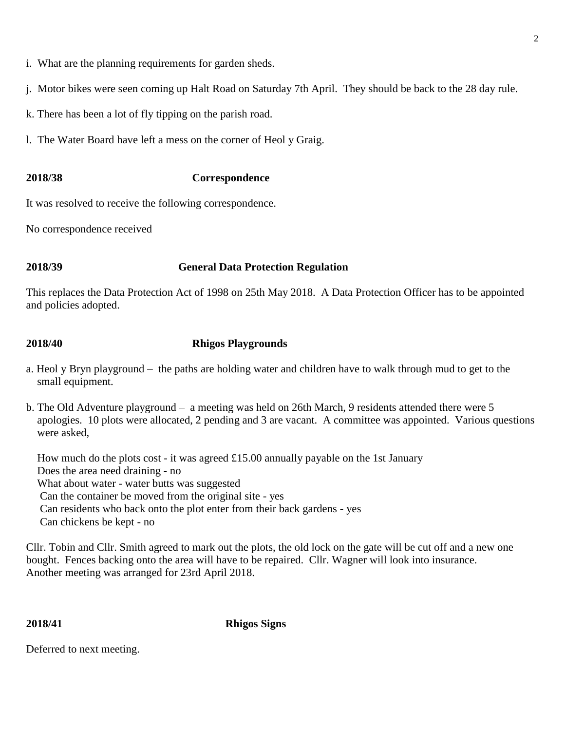- i. What are the planning requirements for garden sheds.
- j. Motor bikes were seen coming up Halt Road on Saturday 7th April. They should be back to the 28 day rule.
- k. There has been a lot of fly tipping on the parish road.
- l. The Water Board have left a mess on the corner of Heol y Graig.

## **2018/38 Correspondence**

It was resolved to receive the following correspondence.

No correspondence received

### **2018/39 General Data Protection Regulation**

This replaces the Data Protection Act of 1998 on 25th May 2018. A Data Protection Officer has to be appointed and policies adopted.

### **2018/40 Rhigos Playgrounds**

- a. Heol y Bryn playground the paths are holding water and children have to walk through mud to get to the small equipment.
- b. The Old Adventure playground a meeting was held on 26th March, 9 residents attended there were 5 apologies. 10 plots were allocated, 2 pending and 3 are vacant. A committee was appointed. Various questions were asked,

 How much do the plots cost - it was agreed £15.00 annually payable on the 1st January Does the area need draining - no What about water - water butts was suggested Can the container be moved from the original site - yes Can residents who back onto the plot enter from their back gardens - yes Can chickens be kept - no

Cllr. Tobin and Cllr. Smith agreed to mark out the plots, the old lock on the gate will be cut off and a new one bought. Fences backing onto the area will have to be repaired. Cllr. Wagner will look into insurance. Another meeting was arranged for 23rd April 2018.

**2018/41 Rhigos Signs**

Deferred to next meeting.